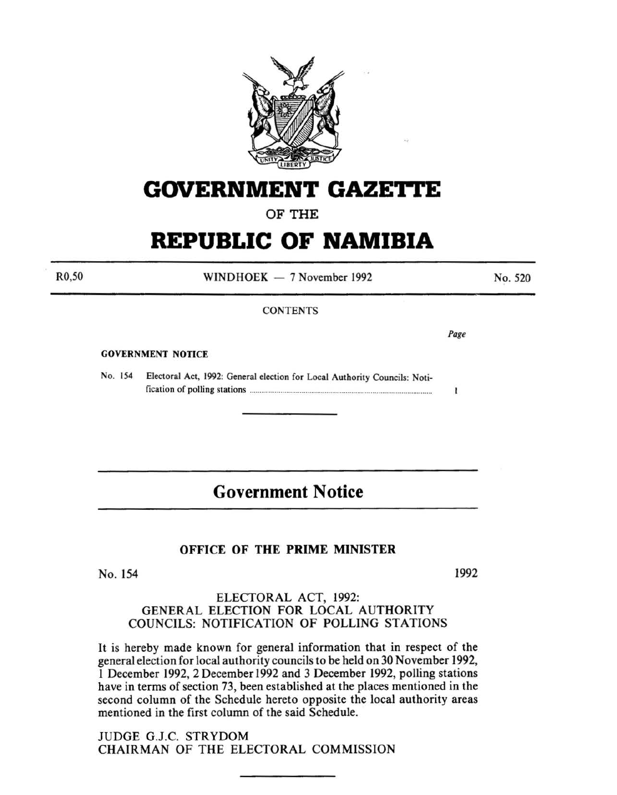

# **GOVERNMENT GAZETTE**

# OF THE

# **REPUBLIC OF NAMIBIA**

R0,50

WINDHOEK  $-7$  November 1992

#### **CONTENTS**

*Page* 

 $\mathbf{I}$ 

No. 520

#### GOVERNMENT NOTICE

No. 154

No. 154 Electoral Act, 1992: General election for Local Authority Councils: Notification of polling stations .............................................................................................. .

# **Government Notice**

#### OFFICE OF THE PRIME MINISTER

1992

#### ELECTORAL ACT, 1992: GENERAL ELECTION FOR LOCAL AUTHORITY COUNCILS: NOTIFICATION OF POLLING STATIONS

It is hereby made known for general information that in respect of the general election for local authority councils to be held on 30 November 1992, 1 December 1992, 2 December 1992 and 3 December 1992, polling stations have in terms of section 73, been established at the places mentioned in the second column of the Schedule hereto opposite the local authority areas mentioned in the first column of the said Schedule.

JUDGE G.J.C. STRYDOM CHAIRMAN OF THE ELECTORAL COMMISSION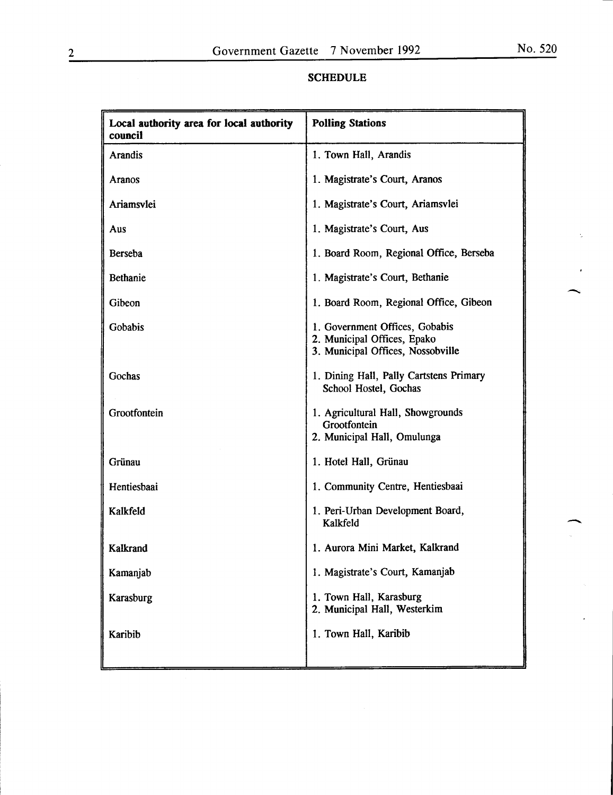| Local authority area for local authority<br>council | <b>Polling Stations</b>                                                                            |  |
|-----------------------------------------------------|----------------------------------------------------------------------------------------------------|--|
| <b>Arandis</b>                                      | 1. Town Hall, Arandis                                                                              |  |
| Aranos                                              | 1. Magistrate's Court, Aranos                                                                      |  |
| Ariamsvlei                                          | 1. Magistrate's Court, Ariamsvlei                                                                  |  |
| Aus                                                 | 1. Magistrate's Court, Aus                                                                         |  |
| Berseba                                             | 1. Board Room, Regional Office, Berseba                                                            |  |
| <b>Bethanie</b>                                     | 1. Magistrate's Court, Bethanie                                                                    |  |
| Gibeon                                              | 1. Board Room, Regional Office, Gibeon                                                             |  |
| Gobabis                                             | 1. Government Offices, Gobabis<br>2. Municipal Offices, Epako<br>3. Municipal Offices, Nossobville |  |
| Gochas                                              | 1. Dining Hall, Pally Cartstens Primary<br>School Hostel, Gochas                                   |  |
| Grootfontein                                        | 1. Agricultural Hall, Showgrounds<br>Grootfontein<br>2. Municipal Hall, Omulunga                   |  |
| Grünau                                              | 1. Hotel Hall, Grünau                                                                              |  |
| Hentiesbaai                                         | 1. Community Centre, Hentiesbaai                                                                   |  |
| Kalkfeld                                            | 1. Peri-Urban Development Board,<br>Kalkfeld                                                       |  |
| Kalkrand                                            | 1. Aurora Mini Market, Kalkrand                                                                    |  |
| Kamanjab                                            | 1. Magistrate's Court, Kamanjab                                                                    |  |
| Karasburg                                           | 1. Town Hall, Karasburg<br>2. Municipal Hall, Westerkim                                            |  |
| Karibib                                             | 1. Town Hall, Karibib                                                                              |  |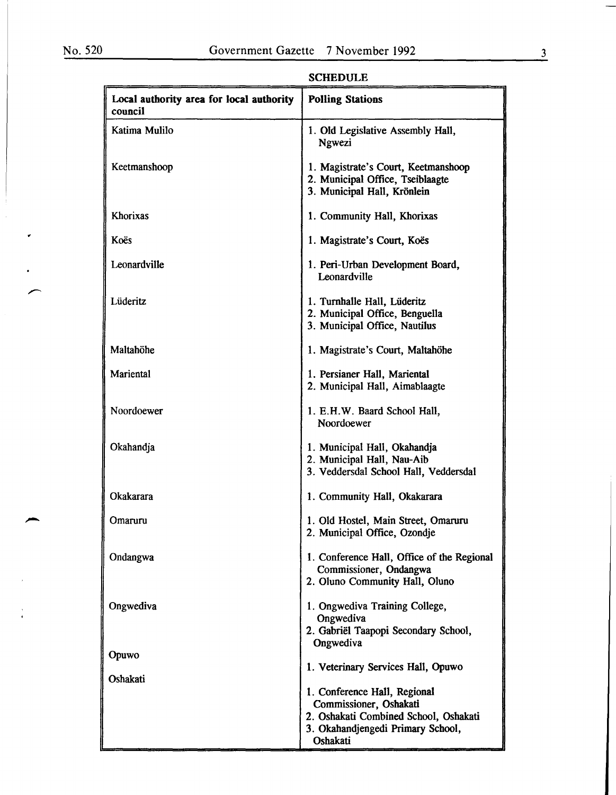$\bullet$ 

| Local authority area for local authority<br>council | <b>Polling Stations</b>                                                                                                                          |
|-----------------------------------------------------|--------------------------------------------------------------------------------------------------------------------------------------------------|
| Katima Mulilo                                       | 1. Old Legislative Assembly Hall,<br>Ngwezi                                                                                                      |
| Keetmanshoop                                        | 1. Magistrate's Court, Keetmanshoop<br>2. Municipal Office, Tseiblaagte<br>3. Municipal Hall, Krönlein                                           |
| Khorixas                                            | 1. Community Hall, Khorixas                                                                                                                      |
| Koës                                                | 1. Magistrate's Court, Koës                                                                                                                      |
| Leonardville                                        | 1. Peri-Urban Development Board,<br>Leonardville                                                                                                 |
| Lüderitz                                            | 1. Turnhalle Hall, Lüderitz<br>2. Municipal Office, Benguella<br>3. Municipal Office, Nautilus                                                   |
| Maltahöhe                                           | 1. Magistrate's Court, Maltahöhe                                                                                                                 |
| Mariental                                           | 1. Persianer Hall, Mariental<br>2. Municipal Hall, Aimablaagte                                                                                   |
| Noordoewer                                          | 1. E.H.W. Baard School Hall,<br>Noordoewer                                                                                                       |
| Okahandja                                           | 1. Municipal Hall, Okahandja<br>2. Municipal Hall, Nau-Aib<br>3. Veddersdal School Hall, Veddersdal                                              |
| Okakarara                                           | 1. Community Hall, Okakarara                                                                                                                     |
| Omaruru                                             | 1. Old Hostel, Main Street, Omaruru<br>2. Municipal Office, Ozondje                                                                              |
| Ondangwa                                            | 1. Conference Hall, Office of the Regional<br>Commissioner, Ondangwa<br>2. Oluno Community Hall, Oluno                                           |
| Ongwediva                                           | 1. Ongwediva Training College,<br>Ongwediva<br>2. Gabriël Taapopi Secondary School,                                                              |
| Opuwo                                               | Ongwediva                                                                                                                                        |
| Oshakati                                            | 1. Veterinary Services Hall, Opuwo                                                                                                               |
|                                                     | 1. Conference Hall, Regional<br>Commissioner, Oshakati<br>2. Oshakati Combined School, Oshakati<br>3. Okahandjengedi Primary School,<br>Oshakati |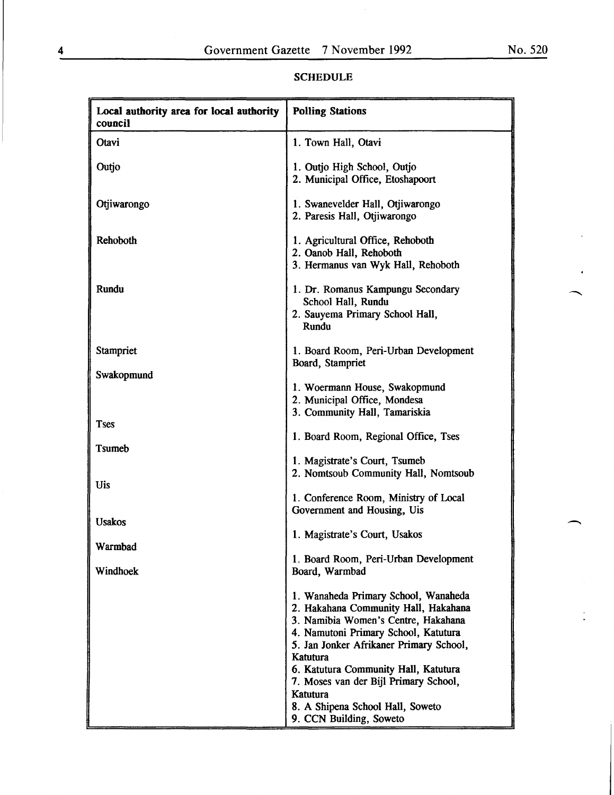| Local authority area for local authority<br>council | <b>Polling Stations</b>                                                                                                                                                                                                                                                                                                                                                                          |
|-----------------------------------------------------|--------------------------------------------------------------------------------------------------------------------------------------------------------------------------------------------------------------------------------------------------------------------------------------------------------------------------------------------------------------------------------------------------|
| Otavi                                               | 1. Town Hall, Otavi                                                                                                                                                                                                                                                                                                                                                                              |
| Outjo                                               | 1. Outjo High School, Outjo<br>2. Municipal Office, Etoshapoort                                                                                                                                                                                                                                                                                                                                  |
| Otjiwarongo                                         | 1. Swanevelder Hall, Otjiwarongo<br>2. Paresis Hall, Otjiwarongo                                                                                                                                                                                                                                                                                                                                 |
| Rehoboth                                            | 1. Agricultural Office, Rehoboth<br>2. Oanob Hall, Rehoboth<br>3. Hermanus van Wyk Hall, Rehoboth                                                                                                                                                                                                                                                                                                |
| Rundu                                               | 1. Dr. Romanus Kampungu Secondary<br>School Hall, Rundu<br>2. Sauyema Primary School Hall,<br>Rundu                                                                                                                                                                                                                                                                                              |
| Stampriet                                           | 1. Board Room, Peri-Urban Development<br>Board, Stampriet                                                                                                                                                                                                                                                                                                                                        |
| Swakopmund                                          | 1. Woermann House, Swakopmund<br>2. Municipal Office, Mondesa                                                                                                                                                                                                                                                                                                                                    |
| <b>Tses</b>                                         | 3. Community Hall, Tamariskia<br>1. Board Room, Regional Office, Tses                                                                                                                                                                                                                                                                                                                            |
| Tsumeb                                              | 1. Magistrate's Court, Tsumeb<br>2. Nomtsoub Community Hall, Nomtsoub                                                                                                                                                                                                                                                                                                                            |
| <b>Uis</b>                                          | 1. Conference Room, Ministry of Local<br>Government and Housing, Uis                                                                                                                                                                                                                                                                                                                             |
| <b>Usakos</b>                                       | 1. Magistrate's Court, Usakos                                                                                                                                                                                                                                                                                                                                                                    |
| Warmbad<br>Windhoek                                 | 1. Board Room, Peri-Urban Development                                                                                                                                                                                                                                                                                                                                                            |
|                                                     | Board, Warmbad<br>1. Wanaheda Primary School, Wanaheda<br>2. Hakahana Community Hall, Hakahana<br>3. Namibia Women's Centre, Hakahana<br>4. Namutoni Primary School, Katutura<br>5. Jan Jonker Afrikaner Primary School,<br>Katutura<br>6. Katutura Community Hall, Katutura<br>7. Moses van der Bijl Primary School,<br>Katutura<br>8. A Shipena School Hall, Soweto<br>9. CCN Building, Soweto |